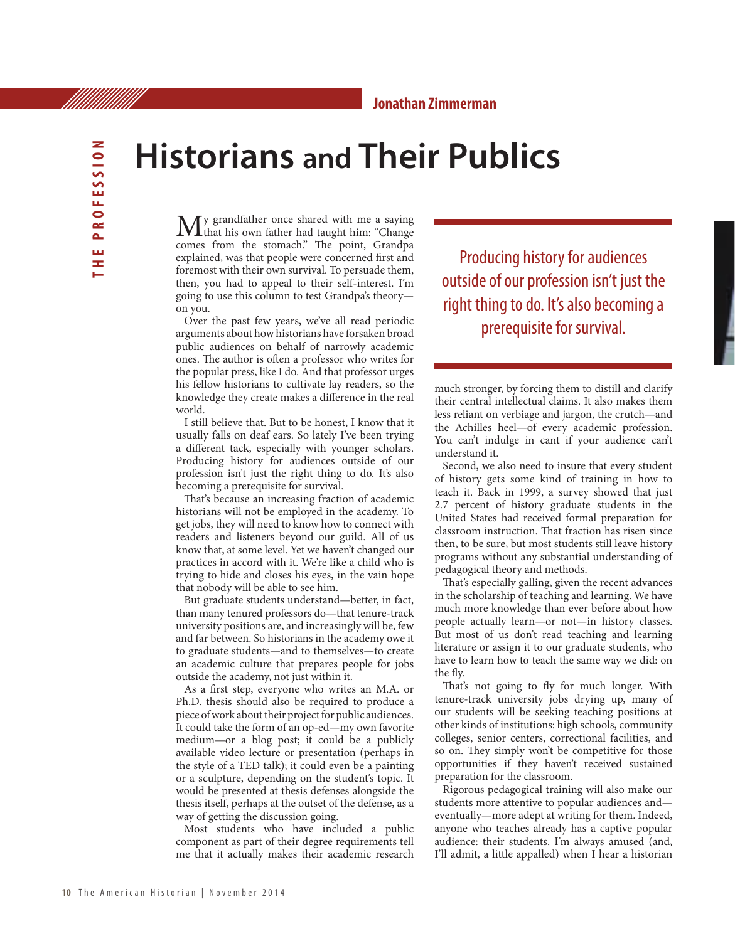## **Historians and Their Publics**

My grandfather once shared with me a saying<br>that his own father had taught him: "Change comes from the stomach." The point, Grandpa explained, was that people were concerned first and foremost with their own survival. To persuade them, then, you had to appeal to their self-interest. I'm going to use this column to test Grandpa's theory on you.

Over the past few years, we've all read periodic arguments about how historians have forsaken broad public audiences on behalf of narrowly academic ones. The author is often a professor who writes for the popular press, like I do. And that professor urges his fellow historians to cultivate lay readers, so the knowledge they create makes a difference in the real world.

I still believe that. But to be honest, I know that it usually falls on deaf ears. So lately I've been trying a different tack, especially with younger scholars. Producing history for audiences outside of our profession isn't just the right thing to do. It's also becoming a prerequisite for survival.

That's because an increasing fraction of academic historians will not be employed in the academy. To get jobs, they will need to know how to connect with readers and listeners beyond our guild. All of us know that, at some level. Yet we haven't changed our practices in accord with it. We're like a child who is trying to hide and closes his eyes, in the vain hope that nobody will be able to see him.

But graduate students understand—better, in fact, than many tenured professors do—that tenure-track university positions are, and increasingly will be, few and far between. So historians in the academy owe it to graduate students—and to themselves—to create an academic culture that prepares people for jobs outside the academy, not just within it.

As a first step, everyone who writes an M.A. or Ph.D. thesis should also be required to produce a piece of work about their project for public audiences. It could take the form of an op-ed—my own favorite medium—or a blog post; it could be a publicly available video lecture or presentation (perhaps in the style of a TED talk); it could even be a painting or a sculpture, depending on the student's topic. It would be presented at thesis defenses alongside the thesis itself, perhaps at the outset of the defense, as a way of getting the discussion going.

Most students who have included a public component as part of their degree requirements tell me that it actually makes their academic research

Producing history for audiences outside of our profession isn't just the right thing to do. It's also becoming a prerequisite for survival.

much stronger, by forcing them to distill and clarify their central intellectual claims. It also makes them less reliant on verbiage and jargon, the crutch—and the Achilles heel—of every academic profession. You can't indulge in cant if your audience can't understand it.

Second, we also need to insure that every student of history gets some kind of training in how to teach it. Back in 1999, a survey showed that just 2.7 percent of history graduate students in the United States had received formal preparation for classroom instruction. That fraction has risen since then, to be sure, but most students still leave history programs without any substantial understanding of pedagogical theory and methods.

That's especially galling, given the recent advances in the scholarship of teaching and learning. We have much more knowledge than ever before about how people actually learn—or not—in history classes. But most of us don't read teaching and learning literature or assign it to our graduate students, who have to learn how to teach the same way we did: on the fly.

That's not going to fly for much longer. With tenure-track university jobs drying up, many of our students will be seeking teaching positions at other kinds of institutions: high schools, community colleges, senior centers, correctional facilities, and so on. They simply won't be competitive for those opportunities if they haven't received sustained preparation for the classroom.

Rigorous pedagogical training will also make our students more attentive to popular audiences and eventually—more adept at writing for them. Indeed, anyone who teaches already has a captive popular audience: their students. I'm always amused (and, I'll admit, a little appalled) when I hear a historian